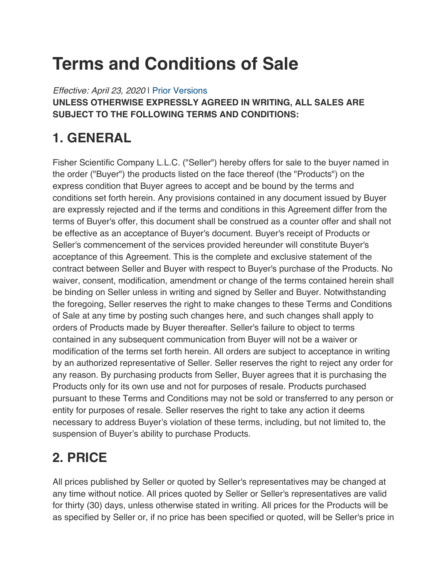# **Terms and Conditions of Sale**

*Effective: April 23, 2020* | Prior Versions **UNLESS OTHERWISE EXPRESSLY AGREED IN WRITING, ALL SALES ARE SUBJECT TO THE FOLLOWING TERMS AND CONDITIONS:**

# **1. GENERAL**

Fisher Scientific Company L.L.C. ("Seller") hereby offers for sale to the buyer named in the order ("Buyer") the products listed on the face thereof (the "Products") on the express condition that Buyer agrees to accept and be bound by the terms and conditions set forth herein. Any provisions contained in any document issued by Buyer are expressly rejected and if the terms and conditions in this Agreement differ from the terms of Buyer's offer, this document shall be construed as a counter offer and shall not be effective as an acceptance of Buyer's document. Buyer's receipt of Products or Seller's commencement of the services provided hereunder will constitute Buyer's acceptance of this Agreement. This is the complete and exclusive statement of the contract between Seller and Buyer with respect to Buyer's purchase of the Products. No waiver, consent, modification, amendment or change of the terms contained herein shall be binding on Seller unless in writing and signed by Seller and Buyer. Notwithstanding the foregoing, Seller reserves the right to make changes to these Terms and Conditions of Sale at any time by posting such changes here, and such changes shall apply to orders of Products made by Buyer thereafter. Seller's failure to object to terms contained in any subsequent communication from Buyer will not be a waiver or modification of the terms set forth herein. All orders are subject to acceptance in writing by an authorized representative of Seller. Seller reserves the right to reject any order for any reason. By purchasing products from Seller, Buyer agrees that it is purchasing the Products only for its own use and not for purposes of resale. Products purchased pursuant to these Terms and Conditions may not be sold or transferred to any person or entity for purposes of resale. Seller reserves the right to take any action it deems necessary to address Buyer's violation of these terms, including, but not limited to, the suspension of Buyer's ability to purchase Products.

# **2. PRICE**

All prices published by Seller or quoted by Seller's representatives may be changed at any time without notice. All prices quoted by Seller or Seller's representatives are valid for thirty (30) days, unless otherwise stated in writing. All prices for the Products will be as specified by Seller or, if no price has been specified or quoted, will be Seller's price in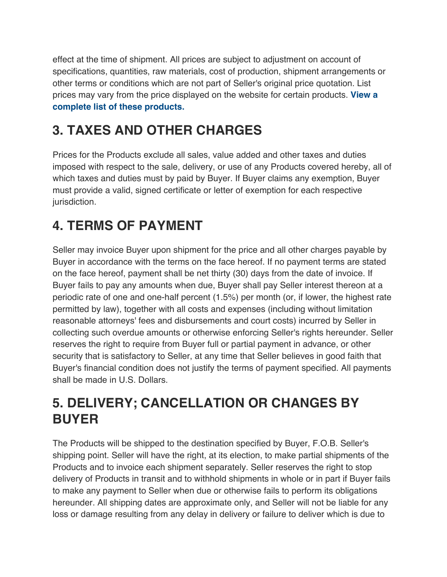effect at the time of shipment. All prices are subject to adjustment on account of specifications, quantities, raw materials, cost of production, shipment arrangements or other terms or conditions which are not part of Seller's original price quotation. List prices may vary from the price displayed on the website for certain products. **View a complete list of these products.**

# **3. TAXES AND OTHER CHARGES**

Prices for the Products exclude all sales, value added and other taxes and duties imposed with respect to the sale, delivery, or use of any Products covered hereby, all of which taxes and duties must by paid by Buyer. If Buyer claims any exemption, Buyer must provide a valid, signed certificate or letter of exemption for each respective jurisdiction.

### **4. TERMS OF PAYMENT**

Seller may invoice Buyer upon shipment for the price and all other charges payable by Buyer in accordance with the terms on the face hereof. If no payment terms are stated on the face hereof, payment shall be net thirty (30) days from the date of invoice. If Buyer fails to pay any amounts when due, Buyer shall pay Seller interest thereon at a periodic rate of one and one-half percent (1.5%) per month (or, if lower, the highest rate permitted by law), together with all costs and expenses (including without limitation reasonable attorneys' fees and disbursements and court costs) incurred by Seller in collecting such overdue amounts or otherwise enforcing Seller's rights hereunder. Seller reserves the right to require from Buyer full or partial payment in advance, or other security that is satisfactory to Seller, at any time that Seller believes in good faith that Buyer's financial condition does not justify the terms of payment specified. All payments shall be made in U.S. Dollars.

### **5. DELIVERY; CANCELLATION OR CHANGES BY BUYER**

The Products will be shipped to the destination specified by Buyer, F.O.B. Seller's shipping point. Seller will have the right, at its election, to make partial shipments of the Products and to invoice each shipment separately. Seller reserves the right to stop delivery of Products in transit and to withhold shipments in whole or in part if Buyer fails to make any payment to Seller when due or otherwise fails to perform its obligations hereunder. All shipping dates are approximate only, and Seller will not be liable for any loss or damage resulting from any delay in delivery or failure to deliver which is due to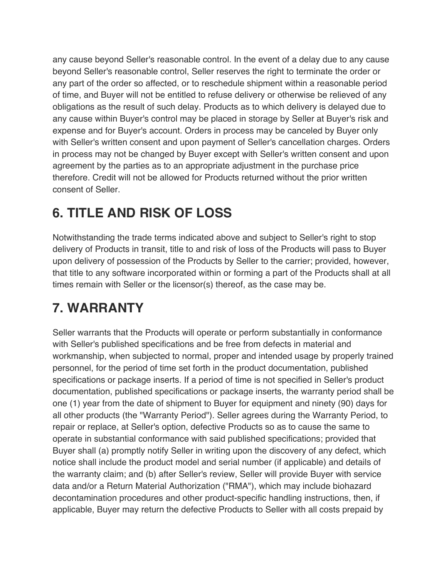any cause beyond Seller's reasonable control. In the event of a delay due to any cause beyond Seller's reasonable control, Seller reserves the right to terminate the order or any part of the order so affected, or to reschedule shipment within a reasonable period of time, and Buyer will not be entitled to refuse delivery or otherwise be relieved of any obligations as the result of such delay. Products as to which delivery is delayed due to any cause within Buyer's control may be placed in storage by Seller at Buyer's risk and expense and for Buyer's account. Orders in process may be canceled by Buyer only with Seller's written consent and upon payment of Seller's cancellation charges. Orders in process may not be changed by Buyer except with Seller's written consent and upon agreement by the parties as to an appropriate adjustment in the purchase price therefore. Credit will not be allowed for Products returned without the prior written consent of Seller.

### **6. TITLE AND RISK OF LOSS**

Notwithstanding the trade terms indicated above and subject to Seller's right to stop delivery of Products in transit, title to and risk of loss of the Products will pass to Buyer upon delivery of possession of the Products by Seller to the carrier; provided, however, that title to any software incorporated within or forming a part of the Products shall at all times remain with Seller or the licensor(s) thereof, as the case may be.

### **7. WARRANTY**

Seller warrants that the Products will operate or perform substantially in conformance with Seller's published specifications and be free from defects in material and workmanship, when subjected to normal, proper and intended usage by properly trained personnel, for the period of time set forth in the product documentation, published specifications or package inserts. If a period of time is not specified in Seller's product documentation, published specifications or package inserts, the warranty period shall be one (1) year from the date of shipment to Buyer for equipment and ninety (90) days for all other products (the "Warranty Period"). Seller agrees during the Warranty Period, to repair or replace, at Seller's option, defective Products so as to cause the same to operate in substantial conformance with said published specifications; provided that Buyer shall (a) promptly notify Seller in writing upon the discovery of any defect, which notice shall include the product model and serial number (if applicable) and details of the warranty claim; and (b) after Seller's review, Seller will provide Buyer with service data and/or a Return Material Authorization ("RMA"), which may include biohazard decontamination procedures and other product-specific handling instructions, then, if applicable, Buyer may return the defective Products to Seller with all costs prepaid by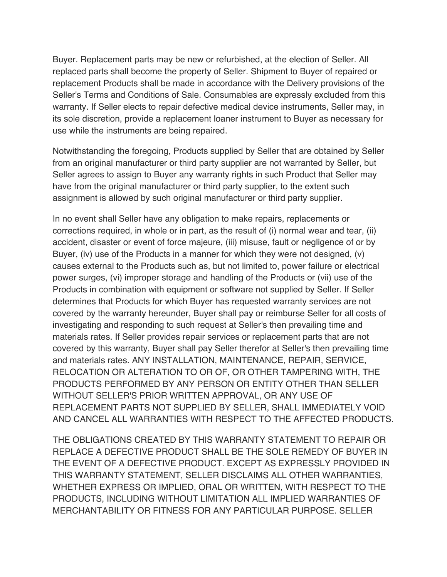Buyer. Replacement parts may be new or refurbished, at the election of Seller. All replaced parts shall become the property of Seller. Shipment to Buyer of repaired or replacement Products shall be made in accordance with the Delivery provisions of the Seller's Terms and Conditions of Sale. Consumables are expressly excluded from this warranty. If Seller elects to repair defective medical device instruments, Seller may, in its sole discretion, provide a replacement loaner instrument to Buyer as necessary for use while the instruments are being repaired.

Notwithstanding the foregoing, Products supplied by Seller that are obtained by Seller from an original manufacturer or third party supplier are not warranted by Seller, but Seller agrees to assign to Buyer any warranty rights in such Product that Seller may have from the original manufacturer or third party supplier, to the extent such assignment is allowed by such original manufacturer or third party supplier.

In no event shall Seller have any obligation to make repairs, replacements or corrections required, in whole or in part, as the result of (i) normal wear and tear, (ii) accident, disaster or event of force majeure, (iii) misuse, fault or negligence of or by Buyer, (iv) use of the Products in a manner for which they were not designed, (v) causes external to the Products such as, but not limited to, power failure or electrical power surges, (vi) improper storage and handling of the Products or (vii) use of the Products in combination with equipment or software not supplied by Seller. If Seller determines that Products for which Buyer has requested warranty services are not covered by the warranty hereunder, Buyer shall pay or reimburse Seller for all costs of investigating and responding to such request at Seller's then prevailing time and materials rates. If Seller provides repair services or replacement parts that are not covered by this warranty, Buyer shall pay Seller therefor at Seller's then prevailing time and materials rates. ANY INSTALLATION, MAINTENANCE, REPAIR, SERVICE, RELOCATION OR ALTERATION TO OR OF, OR OTHER TAMPERING WITH, THE PRODUCTS PERFORMED BY ANY PERSON OR ENTITY OTHER THAN SELLER WITHOUT SELLER'S PRIOR WRITTEN APPROVAL, OR ANY USE OF REPLACEMENT PARTS NOT SUPPLIED BY SELLER, SHALL IMMEDIATELY VOID AND CANCEL ALL WARRANTIES WITH RESPECT TO THE AFFECTED PRODUCTS.

THE OBLIGATIONS CREATED BY THIS WARRANTY STATEMENT TO REPAIR OR REPLACE A DEFECTIVE PRODUCT SHALL BE THE SOLE REMEDY OF BUYER IN THE EVENT OF A DEFECTIVE PRODUCT. EXCEPT AS EXPRESSLY PROVIDED IN THIS WARRANTY STATEMENT, SELLER DISCLAIMS ALL OTHER WARRANTIES, WHETHER EXPRESS OR IMPLIED, ORAL OR WRITTEN, WITH RESPECT TO THE PRODUCTS, INCLUDING WITHOUT LIMITATION ALL IMPLIED WARRANTIES OF MERCHANTABILITY OR FITNESS FOR ANY PARTICULAR PURPOSE. SELLER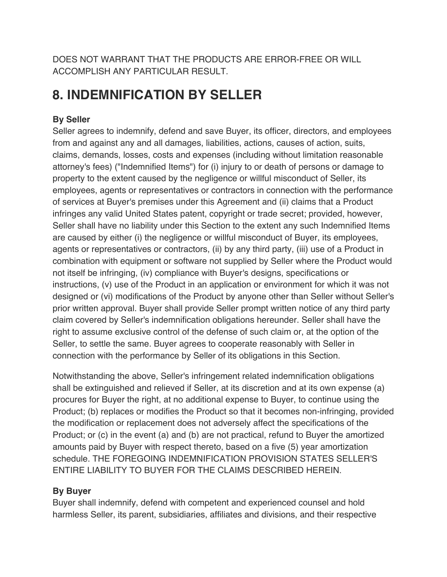DOES NOT WARRANT THAT THE PRODUCTS ARE ERROR-FREE OR WILL ACCOMPLISH ANY PARTICULAR RESULT.

### **8. INDEMNIFICATION BY SELLER**

#### **By Seller**

Seller agrees to indemnify, defend and save Buyer, its officer, directors, and employees from and against any and all damages, liabilities, actions, causes of action, suits, claims, demands, losses, costs and expenses (including without limitation reasonable attorney's fees) ("Indemnified Items") for (i) injury to or death of persons or damage to property to the extent caused by the negligence or willful misconduct of Seller, its employees, agents or representatives or contractors in connection with the performance of services at Buyer's premises under this Agreement and (ii) claims that a Product infringes any valid United States patent, copyright or trade secret; provided, however, Seller shall have no liability under this Section to the extent any such Indemnified Items are caused by either (i) the negligence or willful misconduct of Buyer, its employees, agents or representatives or contractors, (ii) by any third party, (iii) use of a Product in combination with equipment or software not supplied by Seller where the Product would not itself be infringing, (iv) compliance with Buyer's designs, specifications or instructions, (v) use of the Product in an application or environment for which it was not designed or (vi) modifications of the Product by anyone other than Seller without Seller's prior written approval. Buyer shall provide Seller prompt written notice of any third party claim covered by Seller's indemnification obligations hereunder. Seller shall have the right to assume exclusive control of the defense of such claim or, at the option of the Seller, to settle the same. Buyer agrees to cooperate reasonably with Seller in connection with the performance by Seller of its obligations in this Section.

Notwithstanding the above, Seller's infringement related indemnification obligations shall be extinguished and relieved if Seller, at its discretion and at its own expense (a) procures for Buyer the right, at no additional expense to Buyer, to continue using the Product; (b) replaces or modifies the Product so that it becomes non-infringing, provided the modification or replacement does not adversely affect the specifications of the Product; or (c) in the event (a) and (b) are not practical, refund to Buyer the amortized amounts paid by Buyer with respect thereto, based on a five (5) year amortization schedule. THE FOREGOING INDEMNIFICATION PROVISION STATES SELLER'S ENTIRE LIABILITY TO BUYER FOR THE CLAIMS DESCRIBED HEREIN.

#### **By Buyer**

Buyer shall indemnify, defend with competent and experienced counsel and hold harmless Seller, its parent, subsidiaries, affiliates and divisions, and their respective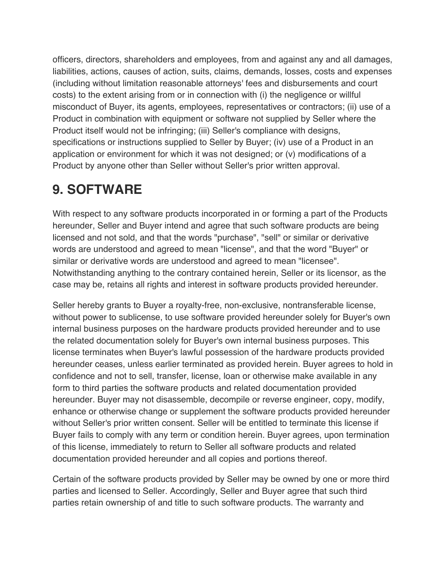officers, directors, shareholders and employees, from and against any and all damages, liabilities, actions, causes of action, suits, claims, demands, losses, costs and expenses (including without limitation reasonable attorneys' fees and disbursements and court costs) to the extent arising from or in connection with (i) the negligence or willful misconduct of Buyer, its agents, employees, representatives or contractors; (ii) use of a Product in combination with equipment or software not supplied by Seller where the Product itself would not be infringing; (iii) Seller's compliance with designs, specifications or instructions supplied to Seller by Buyer; (iv) use of a Product in an application or environment for which it was not designed; or (v) modifications of a Product by anyone other than Seller without Seller's prior written approval.

### **9. SOFTWARE**

With respect to any software products incorporated in or forming a part of the Products hereunder, Seller and Buyer intend and agree that such software products are being licensed and not sold, and that the words "purchase", "sell" or similar or derivative words are understood and agreed to mean "license", and that the word "Buyer" or similar or derivative words are understood and agreed to mean "licensee". Notwithstanding anything to the contrary contained herein, Seller or its licensor, as the case may be, retains all rights and interest in software products provided hereunder.

Seller hereby grants to Buyer a royalty-free, non-exclusive, nontransferable license, without power to sublicense, to use software provided hereunder solely for Buyer's own internal business purposes on the hardware products provided hereunder and to use the related documentation solely for Buyer's own internal business purposes. This license terminates when Buyer's lawful possession of the hardware products provided hereunder ceases, unless earlier terminated as provided herein. Buyer agrees to hold in confidence and not to sell, transfer, license, loan or otherwise make available in any form to third parties the software products and related documentation provided hereunder. Buyer may not disassemble, decompile or reverse engineer, copy, modify, enhance or otherwise change or supplement the software products provided hereunder without Seller's prior written consent. Seller will be entitled to terminate this license if Buyer fails to comply with any term or condition herein. Buyer agrees, upon termination of this license, immediately to return to Seller all software products and related documentation provided hereunder and all copies and portions thereof.

Certain of the software products provided by Seller may be owned by one or more third parties and licensed to Seller. Accordingly, Seller and Buyer agree that such third parties retain ownership of and title to such software products. The warranty and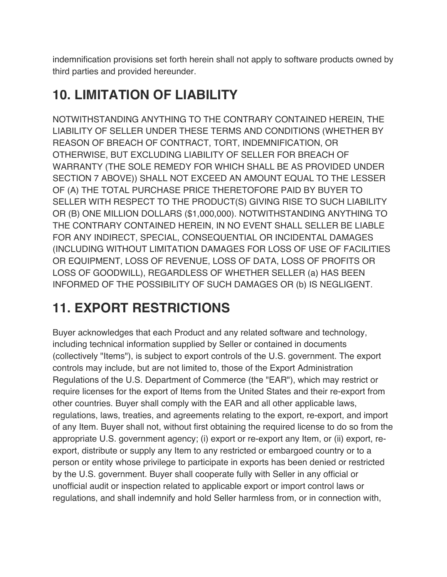indemnification provisions set forth herein shall not apply to software products owned by third parties and provided hereunder.

### **10. LIMITATION OF LIABILITY**

NOTWITHSTANDING ANYTHING TO THE CONTRARY CONTAINED HEREIN, THE LIABILITY OF SELLER UNDER THESE TERMS AND CONDITIONS (WHETHER BY REASON OF BREACH OF CONTRACT, TORT, INDEMNIFICATION, OR OTHERWISE, BUT EXCLUDING LIABILITY OF SELLER FOR BREACH OF WARRANTY (THE SOLE REMEDY FOR WHICH SHALL BE AS PROVIDED UNDER SECTION 7 ABOVE)) SHALL NOT EXCEED AN AMOUNT EQUAL TO THE LESSER OF (A) THE TOTAL PURCHASE PRICE THERETOFORE PAID BY BUYER TO SELLER WITH RESPECT TO THE PRODUCT(S) GIVING RISE TO SUCH LIABILITY OR (B) ONE MILLION DOLLARS (\$1,000,000). NOTWITHSTANDING ANYTHING TO THE CONTRARY CONTAINED HEREIN, IN NO EVENT SHALL SELLER BE LIABLE FOR ANY INDIRECT, SPECIAL, CONSEQUENTIAL OR INCIDENTAL DAMAGES (INCLUDING WITHOUT LIMITATION DAMAGES FOR LOSS OF USE OF FACILITIES OR EQUIPMENT, LOSS OF REVENUE, LOSS OF DATA, LOSS OF PROFITS OR LOSS OF GOODWILL), REGARDLESS OF WHETHER SELLER (a) HAS BEEN INFORMED OF THE POSSIBILITY OF SUCH DAMAGES OR (b) IS NEGLIGENT.

# **11. EXPORT RESTRICTIONS**

Buyer acknowledges that each Product and any related software and technology, including technical information supplied by Seller or contained in documents (collectively "Items"), is subject to export controls of the U.S. government. The export controls may include, but are not limited to, those of the Export Administration Regulations of the U.S. Department of Commerce (the "EAR"), which may restrict or require licenses for the export of Items from the United States and their re-export from other countries. Buyer shall comply with the EAR and all other applicable laws, regulations, laws, treaties, and agreements relating to the export, re-export, and import of any Item. Buyer shall not, without first obtaining the required license to do so from the appropriate U.S. government agency; (i) export or re-export any Item, or (ii) export, reexport, distribute or supply any Item to any restricted or embargoed country or to a person or entity whose privilege to participate in exports has been denied or restricted by the U.S. government. Buyer shall cooperate fully with Seller in any official or unofficial audit or inspection related to applicable export or import control laws or regulations, and shall indemnify and hold Seller harmless from, or in connection with,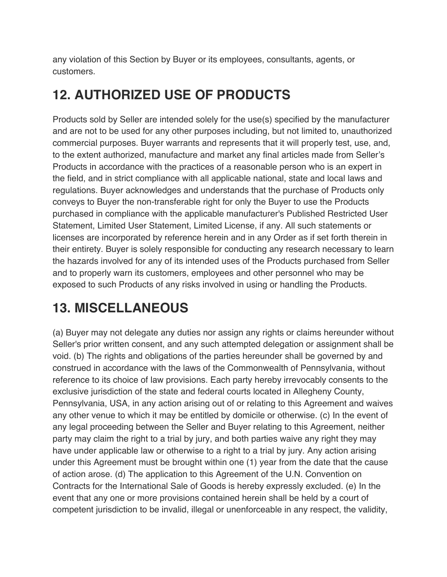any violation of this Section by Buyer or its employees, consultants, agents, or customers.

### **12. AUTHORIZED USE OF PRODUCTS**

Products sold by Seller are intended solely for the use(s) specified by the manufacturer and are not to be used for any other purposes including, but not limited to, unauthorized commercial purposes. Buyer warrants and represents that it will properly test, use, and, to the extent authorized, manufacture and market any final articles made from Seller's Products in accordance with the practices of a reasonable person who is an expert in the field, and in strict compliance with all applicable national, state and local laws and regulations. Buyer acknowledges and understands that the purchase of Products only conveys to Buyer the non-transferable right for only the Buyer to use the Products purchased in compliance with the applicable manufacturer's Published Restricted User Statement, Limited User Statement, Limited License, if any. All such statements or licenses are incorporated by reference herein and in any Order as if set forth therein in their entirety. Buyer is solely responsible for conducting any research necessary to learn the hazards involved for any of its intended uses of the Products purchased from Seller and to properly warn its customers, employees and other personnel who may be exposed to such Products of any risks involved in using or handling the Products.

### **13. MISCELLANEOUS**

(a) Buyer may not delegate any duties nor assign any rights or claims hereunder without Seller's prior written consent, and any such attempted delegation or assignment shall be void. (b) The rights and obligations of the parties hereunder shall be governed by and construed in accordance with the laws of the Commonwealth of Pennsylvania, without reference to its choice of law provisions. Each party hereby irrevocably consents to the exclusive jurisdiction of the state and federal courts located in Allegheny County, Pennsylvania, USA, in any action arising out of or relating to this Agreement and waives any other venue to which it may be entitled by domicile or otherwise. (c) In the event of any legal proceeding between the Seller and Buyer relating to this Agreement, neither party may claim the right to a trial by jury, and both parties waive any right they may have under applicable law or otherwise to a right to a trial by jury. Any action arising under this Agreement must be brought within one (1) year from the date that the cause of action arose. (d) The application to this Agreement of the U.N. Convention on Contracts for the International Sale of Goods is hereby expressly excluded. (e) In the event that any one or more provisions contained herein shall be held by a court of competent jurisdiction to be invalid, illegal or unenforceable in any respect, the validity,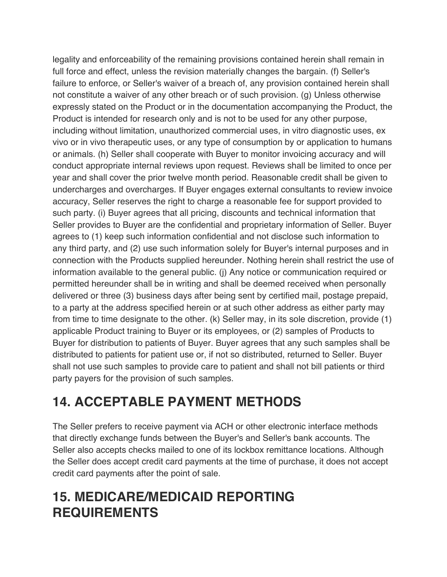legality and enforceability of the remaining provisions contained herein shall remain in full force and effect, unless the revision materially changes the bargain. (f) Seller's failure to enforce, or Seller's waiver of a breach of, any provision contained herein shall not constitute a waiver of any other breach or of such provision. (g) Unless otherwise expressly stated on the Product or in the documentation accompanying the Product, the Product is intended for research only and is not to be used for any other purpose, including without limitation, unauthorized commercial uses, in vitro diagnostic uses, ex vivo or in vivo therapeutic uses, or any type of consumption by or application to humans or animals. (h) Seller shall cooperate with Buyer to monitor invoicing accuracy and will conduct appropriate internal reviews upon request. Reviews shall be limited to once per year and shall cover the prior twelve month period. Reasonable credit shall be given to undercharges and overcharges. If Buyer engages external consultants to review invoice accuracy, Seller reserves the right to charge a reasonable fee for support provided to such party. (i) Buyer agrees that all pricing, discounts and technical information that Seller provides to Buyer are the confidential and proprietary information of Seller. Buyer agrees to (1) keep such information confidential and not disclose such information to any third party, and (2) use such information solely for Buyer's internal purposes and in connection with the Products supplied hereunder. Nothing herein shall restrict the use of information available to the general public. (j) Any notice or communication required or permitted hereunder shall be in writing and shall be deemed received when personally delivered or three (3) business days after being sent by certified mail, postage prepaid, to a party at the address specified herein or at such other address as either party may from time to time designate to the other. (k) Seller may, in its sole discretion, provide (1) applicable Product training to Buyer or its employees, or (2) samples of Products to Buyer for distribution to patients of Buyer. Buyer agrees that any such samples shall be distributed to patients for patient use or, if not so distributed, returned to Seller. Buyer shall not use such samples to provide care to patient and shall not bill patients or third party payers for the provision of such samples.

### **14. ACCEPTABLE PAYMENT METHODS**

The Seller prefers to receive payment via ACH or other electronic interface methods that directly exchange funds between the Buyer's and Seller's bank accounts. The Seller also accepts checks mailed to one of its lockbox remittance locations. Although the Seller does accept credit card payments at the time of purchase, it does not accept credit card payments after the point of sale.

### **15. MEDICARE/MEDICAID REPORTING REQUIREMENTS**